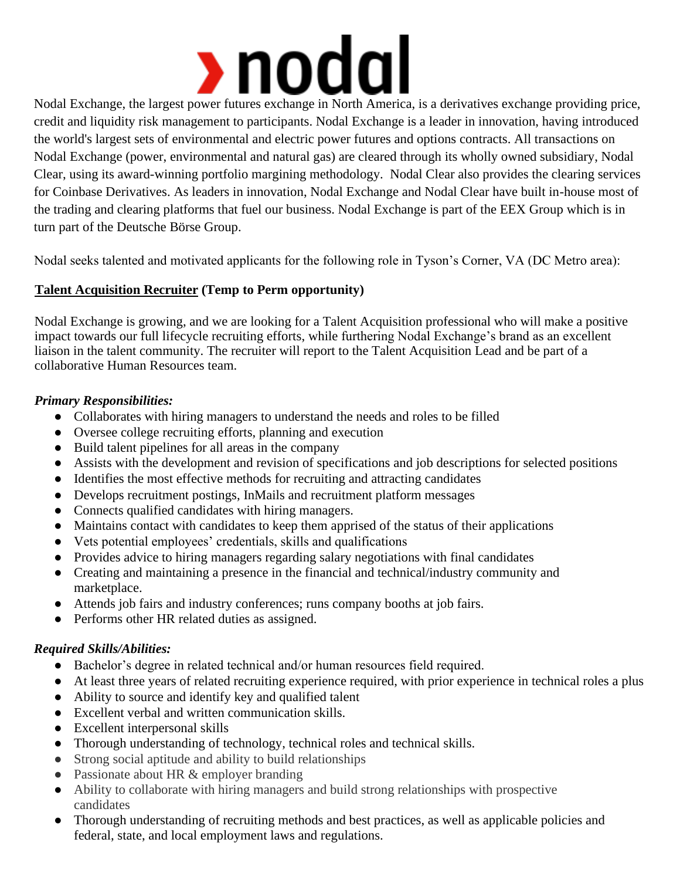

Nodal Exchange, the largest power futures exchange in North America, is a derivatives exchange providing price, credit and liquidity risk management to participants. Nodal Exchange is a leader in innovation, having introduced the world's largest sets of environmental and electric power futures and options contracts. All transactions on Nodal Exchange (power, environmental and natural gas) are cleared through its wholly owned subsidiary, Nodal Clear, using its award-winning portfolio margining methodology. Nodal Clear also provides the clearing services for Coinbase Derivatives. As leaders in innovation, Nodal Exchange and Nodal Clear have built in-house most of the trading and clearing platforms that fuel our business. Nodal Exchange is part of the EEX Group which is in turn part of the Deutsche Börse Group.

Nodal seeks talented and motivated applicants for the following role in Tyson's Corner, VA (DC Metro area):

# **Talent Acquisition Recruiter (Temp to Perm opportunity)**

Nodal Exchange is growing, and we are looking for a Talent Acquisition professional who will make a positive impact towards our full lifecycle recruiting efforts, while furthering Nodal Exchange's brand as an excellent liaison in the talent community. The recruiter will report to the Talent Acquisition Lead and be part of a collaborative Human Resources team.

## *Primary Responsibilities:*

- Collaborates with hiring managers to understand the needs and roles to be filled
- Oversee college recruiting efforts, planning and execution
- Build talent pipelines for all areas in the company
- Assists with the development and revision of specifications and job descriptions for selected positions
- Identifies the most effective methods for recruiting and attracting candidates
- Develops recruitment postings, InMails and recruitment platform messages
- Connects qualified candidates with hiring managers.
- Maintains contact with candidates to keep them apprised of the status of their applications
- Vets potential employees' credentials, skills and qualifications
- Provides advice to hiring managers regarding salary negotiations with final candidates
- Creating and maintaining a presence in the financial and technical/industry community and marketplace.
- Attends job fairs and industry conferences; runs company booths at job fairs.
- Performs other HR related duties as assigned.

## *Required Skills/Abilities:*

- Bachelor's degree in related technical and/or human resources field required.
- At least three years of related recruiting experience required, with prior experience in technical roles a plus
- Ability to source and identify key and qualified talent
- Excellent verbal and written communication skills.
- Excellent interpersonal skills
- Thorough understanding of technology, technical roles and technical skills.
- Strong social aptitude and ability to build relationships
- Passionate about HR & employer branding
- Ability to collaborate with hiring managers and build strong relationships with prospective candidates
- Thorough understanding of recruiting methods and best practices, as well as applicable policies and federal, state, and local employment laws and regulations.